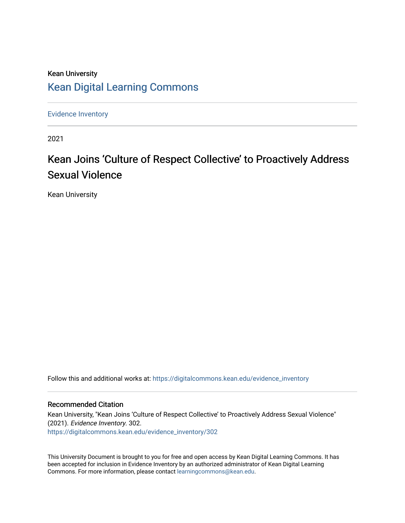## Kean University [Kean Digital Learning Commons](https://digitalcommons.kean.edu/)

[Evidence Inventory](https://digitalcommons.kean.edu/evidence_inventory) 

2021

# Kean Joins 'Culture of Respect Collective' to Proactively Address Sexual Violence

Kean University

Follow this and additional works at: [https://digitalcommons.kean.edu/evidence\\_inventory](https://digitalcommons.kean.edu/evidence_inventory?utm_source=digitalcommons.kean.edu%2Fevidence_inventory%2F302&utm_medium=PDF&utm_campaign=PDFCoverPages)

#### Recommended Citation

Kean University, "Kean Joins 'Culture of Respect Collective' to Proactively Address Sexual Violence" (2021). Evidence Inventory. 302. [https://digitalcommons.kean.edu/evidence\\_inventory/302](https://digitalcommons.kean.edu/evidence_inventory/302?utm_source=digitalcommons.kean.edu%2Fevidence_inventory%2F302&utm_medium=PDF&utm_campaign=PDFCoverPages)

This University Document is brought to you for free and open access by Kean Digital Learning Commons. It has been accepted for inclusion in Evidence Inventory by an authorized administrator of Kean Digital Learning Commons. For more information, please contact [learningcommons@kean.edu.](mailto:learningcommons@kean.edu)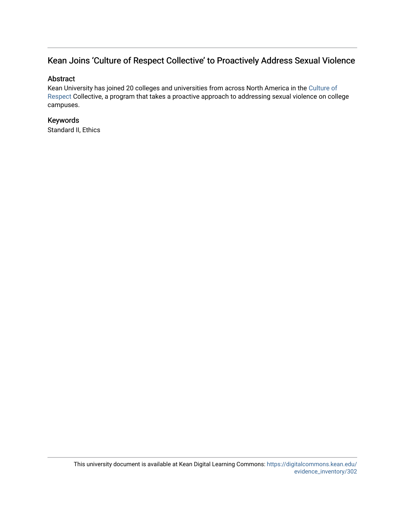### Kean Joins 'Culture of Respect Collective' to Proactively Address Sexual Violence

#### Abstract

Kean University has joined 20 colleges and universities from across North America in the [Culture of](https://cultureofrespect.org/) [Respect](https://cultureofrespect.org/) Collective, a program that takes a proactive approach to addressing sexual violence on college campuses.

#### Keywords

Standard II, Ethics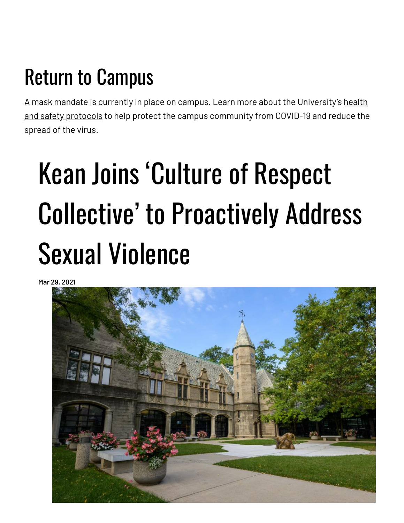# Return to Campus

A mask mandate is currently in place on campus. Learn more about the [University's](https://www.kean.edu/welcome-fall-2021-semester) health and safety protocols to help protect the campus community from COVID-19 and reduce the spread of the virus.

# Kean Joins 'Culture of Respect Collective' to Proactively Address Sexual Violence

**Mar 29, 2021**

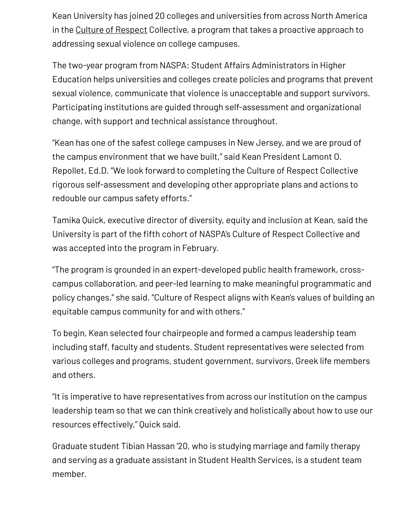Kean University has joined 20 colleges and universities from across North America in the Culture of [Respect](https://cultureofrespect.org/) Collective, a program that takes a proactive approach to addressing sexual violence on college campuses.

The two-year program from NASPA: Student Affairs Administrators in Higher Education helps universities and colleges create policies and programs that prevent sexual violence, communicate that violence is unacceptable and support survivors. Participating institutions are guided through self-assessment and organizational change, with support and technical assistance throughout.

"Kean has one of the safest college campuses in New Jersey, and we are proud of the campus environment that we have built," said Kean President Lamont O. Repollet, Ed.D. "We look forward to completing the Culture of Respect Collective rigorous self-assessment and developing other appropriate plans and actions to redouble our campus safety efforts."

Tamika Quick, executive director of diversity, equity and inclusion at Kean, said the University is part of the fifth cohort of NASPA's Culture of Respect Collective and was accepted into the program in February.

"The program is grounded in an expert-developed public health framework, crosscampus collaboration, and peer-led learning to make meaningful programmatic and policy changes," she said. "Culture of Respect aligns with Kean's values of building an equitable campus community for and with others."

To begin, Kean selected four chairpeople and formed a campus leadership team including staff, faculty and students. Student representatives were selected from various colleges and programs, student government, survivors, Greek life members and others.

"It is imperative to have representatives from across our institution on the campus leadership team so that we can think creatively and holistically about how to use our resources effectively," Quick said.

Graduate student Tibian Hassan '20, who is studying marriage and family therapy and serving as a graduate assistant in Student Health Services, is a student team member.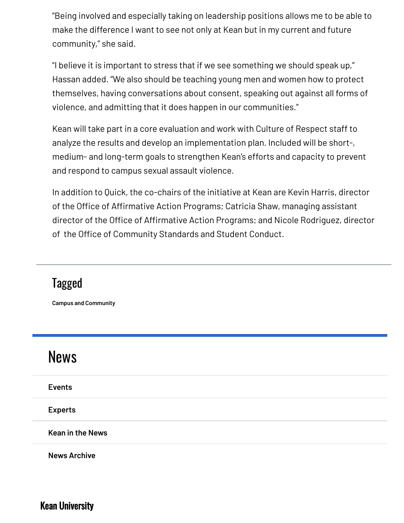"Being involved and especially taking on leadership positions allows me to be able to make the difference I want to see not only at Kean but in my current and future community," she said.

"I believe it is important to stress that if we see something we should speak up," Hassan added. "We also should be teaching young men and women how to protect themselves, having conversations about consent, speaking out against all forms of violence, and admitting that it does happen in our communities."

Kean will take part in a core evaluation and work with Culture of Respect staff to analyze the results and develop an implementation plan. Included will be short-, medium- and long-term goals to strengthen Kean's efforts and capacity to prevent and respond to campus sexual assault violence.

In addition to Quick, the co-chairs of the initiative at Kean are Kevin Harris, director of the Office of Affirmative Action Programs; Catricia Shaw, managing assistant director of the Office of Affirmative Action Programs; and Nicole Rodriguez, director of the Office of Community Standards and Student Conduct.

| <b>Campus and Community</b> |  |
|-----------------------------|--|
| <b>News</b>                 |  |
| <b>Events</b>               |  |
| <b>Experts</b>              |  |
| <b>Kean in the News</b>     |  |
| <b>News Archive</b>         |  |

Kean University

Tagged